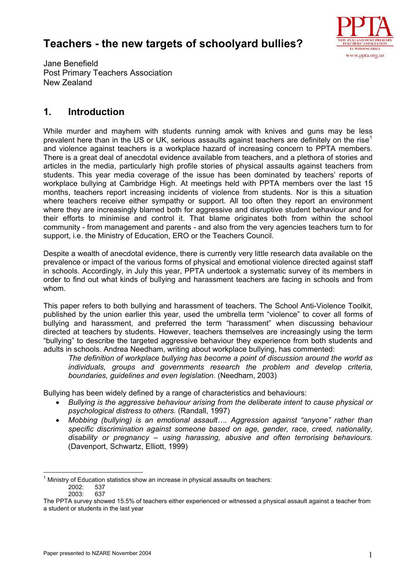# **Teachers - the new targets of schoolyard bullies?**



Jane Benefield Post Primary Teachers Association New Zealand

# **1. Introduction**

While murder and mayhem with students running amok with knives and guns may be less prevalent here than in the US or UK, serious assaults against teachers are definitely on the rise<sup>[1](#page-0-0)</sup> and violence against teachers is a workplace hazard of increasing concern to PPTA members. There is a great deal of anecdotal evidence available from teachers, and a plethora of stories and articles in the media, particularly high profile stories of physical assaults against teachers from students. This year media coverage of the issue has been dominated by teachers' reports of workplace bullying at Cambridge High. At meetings held with PPTA members over the last 15 months, teachers report increasing incidents of violence from students. Nor is this a situation where teachers receive either sympathy or support. All too often they report an environment where they are increasingly blamed both for aggressive and disruptive student behaviour and for their efforts to minimise and control it. That blame originates both from within the school community - from management and parents - and also from the very agencies teachers turn to for support, i.e. the Ministry of Education, ERO or the Teachers Council.

Despite a wealth of anecdotal evidence, there is currently very little research data available on the prevalence or impact of the various forms of physical and emotional violence directed against staff in schools. Accordingly, in July this year, PPTA undertook a systematic survey of its members in order to find out what kinds of bullying and harassment teachers are facing in schools and from whom.

This paper refers to both bullying and harassment of teachers. The School Anti-Violence Toolkit, published by the union earlier this year, used the umbrella term "violence" to cover all forms of bullying and harassment, and preferred the term "harassment" when discussing behaviour directed at teachers by students. However, teachers themselves are increasingly using the term "bullying" to describe the targeted aggressive behaviour they experience from both students and adults in schools. Andrea Needham, writing about workplace bullying, has commented:

*The definition of workplace bullying has become a point of discussion around the world as individuals, groups and governments research the problem and develop criteria, boundaries, guidelines and even legislation.* (Needham, 2003)

Bullying has been widely defined by a range of characteristics and behaviours:

- *Bullying is the aggressive behaviour arising from the deliberate intent to cause physical or psychological distress to others.* (Randall, 1997)
- *Mobbing (bullying) is an emotional assault…. Aggression against "anyone" rather than specific discrimination against someone based on age, gender, race, creed, nationality, disability or pregnancy – using harassing, abusive and often terrorising behaviours.*  (Davenport, Schwartz, Elliott, 1999)

<span id="page-0-0"></span> $\frac{1}{2}$  $1$  Ministry of Education statistics show an increase in physical assaults on teachers:

<sup>2002: 537&</sup>lt;br>2003: 637

 $2003 -$ 

The PPTA survey showed 15.5% of teachers either experienced or witnessed a physical assault against a teacher from a student or students in the last year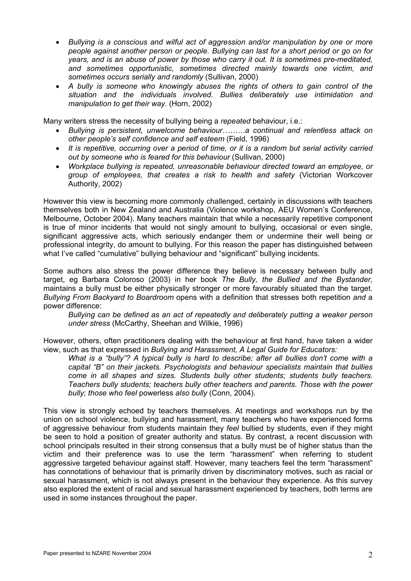- *Bullying is a conscious and wilful act of aggression and/or manipulation by one or more people against another person or people. Bullying can last for a short period or go on for years, and is an abuse of power by those who carry it out. It is sometimes pre-meditated, and sometimes opportunistic, sometimes directed mainly towards one victim, and sometimes occurs serially and randomly* (Sullivan, 2000)
- *A bully is someone who knowingly abuses the rights of others to gain control of the situation and the individuals involved. Bullies deliberately use intimidation and manipulation to get their way.* (Horn, 2002)

Many writers stress the necessity of bullying being a *repeated* behaviour, i.e.:

- *Bullying is persistent, unwelcome behaviour………a continual and relentless attack on other people's self confidence and self esteem* (Field, 1996)
- *It is repetitive, occurring over a period of time, or it is a random but serial activity carried out by someone who is feared for this behaviour* (Sullivan, 2000)
- *Workplace bullying is repeated, unreasonable behaviour directed toward an employee, or group of employees, that creates a risk to health and safety* (Victorian Workcover Authority, 2002)

However this view is becoming more commonly challenged, certainly in discussions with teachers themselves both in New Zealand and Australia (Violence workshop, AEU Women's Conference, Melbourne, October 2004). Many teachers maintain that while a necessarily repetitive component is true of minor incidents that would not singly amount to bullying, occasional or even single, significant aggressive acts, which seriously endanger them or undermine their well being or professional integrity, do amount to bullying. For this reason the paper has distinguished between what I've called "cumulative" bullying behaviour and "significant" bullying incidents.

Some authors also stress the power difference they believe is necessary between bully and target, eg Barbara Coloroso (2003) in her book *The Bully, the Bullied and the Bystander,*  maintains a bully must be either physically stronger or more favourably situated than the target*. Bullying From Backyard to Boardroom* opens with a definition that stresses both repetition *and* a power difference:

*Bullying can be defined as an act of repeatedly and deliberately putting a weaker person under stress* (McCarthy, Sheehan and Wilkie, 1996)

However, others, often practitioners dealing with the behaviour at first hand, have taken a wider view, such as that expressed in *Bullying and Harassment, A Legal Guide for Educators:* 

*What is a "bully"? A typical bully is hard to describe; after all bullies don't come with a capital "B" on their jackets. Psychologists and behaviour specialists maintain that bullies come in all shapes and sizes. Students bully other students; students bully teachers. Teachers bully students; teachers bully other teachers and parents. Those with the power bully; those who feel* powerless *also bully* (Conn, 2004).

This view is strongly echoed by teachers themselves. At meetings and workshops run by the union on school violence, bullying and harassment, many teachers who have experienced forms of aggressive behaviour from students maintain they *feel* bullied by students, even if they might be seen to hold a position of greater authority and status. By contrast, a recent discussion with school principals resulted in their strong consensus that a bully must be of higher status than the victim and their preference was to use the term "harassment" when referring to student aggressive targeted behaviour against staff. However, many teachers feel the term "harassment" has connotations of behaviour that is primarily driven by discriminatory motives, such as racial or sexual harassment, which is not always present in the behaviour they experience. As this survey also explored the extent of racial and sexual harassment experienced by teachers, both terms are used in some instances throughout the paper.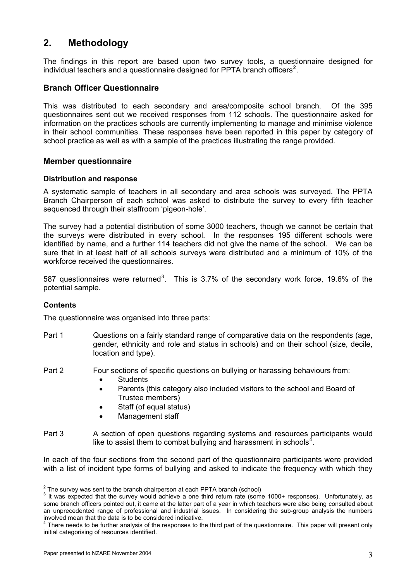# **2. Methodology**

The findings in this report are based upon two survey tools, a questionnaire designed for individual teachers and a questionnaire designed for PPTA branch officers<sup>[2](#page-2-0)</sup>.

## **Branch Officer Questionnaire**

This was distributed to each secondary and area/composite school branch. Of the 395 questionnaires sent out we received responses from 112 schools. The questionnaire asked for information on the practices schools are currently implementing to manage and minimise violence in their school communities. These responses have been reported in this paper by category of school practice as well as with a sample of the practices illustrating the range provided.

#### **Member questionnaire**

#### **Distribution and response**

A systematic sample of teachers in all secondary and area schools was surveyed. The PPTA Branch Chairperson of each school was asked to distribute the survey to every fifth teacher sequenced through their staffroom 'pigeon-hole'.

The survey had a potential distribution of some 3000 teachers, though we cannot be certain that the surveys were distributed in every school. In the responses 195 different schools were identified by name, and a further 114 teachers did not give the name of the school. We can be sure that in at least half of all schools surveys were distributed and a minimum of 10% of the workforce received the questionnaires.

587 questionnaires were returned<sup>[3](#page-2-1)</sup>. This is 3.7% of the secondary work force, 19.6% of the potential sample.

#### **Contents**

The questionnaire was organised into three parts:

- Part 1 Questions on a fairly standard range of comparative data on the respondents (age, gender, ethnicity and role and status in schools) and on their school (size, decile, location and type).
- Part 2 Four sections of specific questions on bullying or harassing behaviours from:
	- Students
	- Parents (this category also included visitors to the school and Board of Trustee members)
	- Staff (of equal status)
	- Management staff
- Part 3 A section of open questions regarding systems and resources participants would like to assist them to combat bullying and harassment in schools<sup>[4](#page-2-2)</sup>.

In each of the four sections from the second part of the questionnaire participants were provided with a list of incident type forms of bullying and asked to indicate the frequency with which they

 $\frac{2}{\pi}$  The survey was sent to the branch chairperson at each PPTA branch (school)<br> $\frac{3}{\pi}$  It was expected that the survey would sekieve a spe third return rate (sem

<span id="page-2-1"></span><span id="page-2-0"></span><sup>&</sup>lt;sup>3</sup> It was expected that the survey would achieve a one third return rate (some 1000+ responses). Unfortunately, as some branch officers pointed out, it came at the latter part of a year in which teachers were also being consulted about an unprecedented range of professional and industrial issues. In considering the sub-group analysis the numbers involved mean that the data is to be considered indicative.

<span id="page-2-2"></span> $^4$  There needs to be further analysis of the responses to the third part of the questionnaire. This paper will present only initial categorising of resources identified.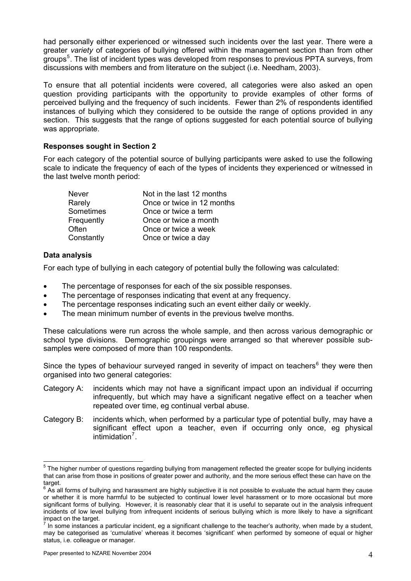had personally either experienced or witnessed such incidents over the last year. There were a greater *variety* of categories of bullying offered within the management section than from other groups<sup>[5](#page-3-0)</sup>. The list of incident types was developed from responses to previous PPTA surveys, from discussions with members and from literature on the subject (i.e. Needham, 2003).

To ensure that all potential incidents were covered, all categories were also asked an open question providing participants with the opportunity to provide examples of other forms of perceived bullying and the frequency of such incidents. Fewer than 2% of respondents identified instances of bullying which they considered to be outside the range of options provided in any section. This suggests that the range of options suggested for each potential source of bullying was appropriate.

#### **Responses sought in Section 2**

For each category of the potential source of bullying participants were asked to use the following scale to indicate the frequency of each of the types of incidents they experienced or witnessed in the last twelve month period:

| <b>Never</b> | Not in the last 12 months  |
|--------------|----------------------------|
| Rarely       | Once or twice in 12 months |
| Sometimes    | Once or twice a term       |
| Frequently   | Once or twice a month      |
| Often        | Once or twice a week       |
| Constantly   | Once or twice a day        |

#### **Data analysis**

For each type of bullying in each category of potential bully the following was calculated:

- The percentage of responses for each of the six possible responses.
- The percentage of responses indicating that event at any frequency.
- The percentage responses indicating such an event either daily or weekly.
- The mean minimum number of events in the previous twelve months.

These calculations were run across the whole sample, and then across various demographic or school type divisions. Demographic groupings were arranged so that wherever possible subsamples were composed of more than 100 respondents.

Since the types of behaviour surveyed ranged in severity of impact on teachers<sup>[6](#page-3-1)</sup> they were then organised into two general categories:

- Category A: incidents which may not have a significant impact upon an individual if occurring infrequently, but which may have a significant negative effect on a teacher when repeated over time, eg continual verbal abuse.
- Category B: incidents which, when performed by a particular type of potential bully, may have a significant effect upon a teacher, even if occurring only once, eg physical  $intimization<sup>7</sup>$  $intimization<sup>7</sup>$  $intimization<sup>7</sup>$ .

<span id="page-3-0"></span> 5 The higher number of questions regarding bullying from management reflected the greater scope for bullying incidents that can arise from those in positions of greater power and authority, and the more serious effect these can have on the target.

<span id="page-3-1"></span> $^6$  As all forms of bullying and harassment are highly subjective it is not possible to evaluate the actual harm they cause or whether it is more harmful to be subjected to continual lower level harassment or to more occasional but more significant forms of bullying. However, it is reasonably clear that it is useful to separate out in the analysis infrequent incidents of low level bullying from infrequent incidents of serious bullying which is more likely to have a significant impact on the target.

<span id="page-3-2"></span> $^7$  In some instances a particular incident, eg a significant challenge to the teacher's authority, when made by a student, may be categorised as 'cumulative' whereas it becomes 'significant' when performed by someone of equal or higher status, i.e. colleague or manager.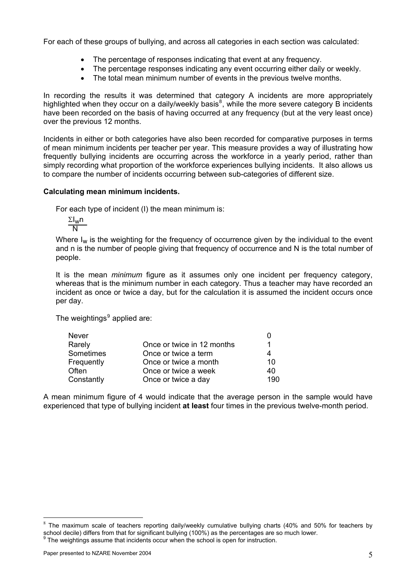For each of these groups of bullying, and across all categories in each section was calculated:

- The percentage of responses indicating that event at any frequency.
- The percentage responses indicating any event occurring either daily or weekly.
- The total mean minimum number of events in the previous twelve months.

In recording the results it was determined that category A incidents are more appropriately highlighted when they occur on a daily/weekly basis<sup>[8](#page-4-0)</sup>, while the more severe category B incidents have been recorded on the basis of having occurred at any frequency (but at the very least once) over the previous 12 months.

Incidents in either or both categories have also been recorded for comparative purposes in terms of mean minimum incidents per teacher per year. This measure provides a way of illustrating how frequently bullying incidents are occurring across the workforce in a yearly period, rather than simply recording what proportion of the workforce experiences bullying incidents. It also allows us to compare the number of incidents occurring between sub-categories of different size.

#### **Calculating mean minimum incidents.**

For each type of incident (I) the mean minimum is:

ΣIwn  $\overline{\mathsf{N}}$ 

Where  $I_w$  is the weighting for the frequency of occurrence given by the individual to the event and n is the number of people giving that frequency of occurrence and N is the total number of people.

It is the mean *minimum* figure as it assumes only one incident per frequency category, whereas that is the minimum number in each category. Thus a teacher may have recorded an incident as once or twice a day, but for the calculation it is assumed the incident occurs once per day.

The weightings $^9$  $^9$  applied are:

| <b>Never</b> |                            |     |
|--------------|----------------------------|-----|
| Rarely       | Once or twice in 12 months |     |
| Sometimes    | Once or twice a term       |     |
| Frequently   | Once or twice a month      | 10  |
| Often        | Once or twice a week       | 40  |
| Constantly   | Once or twice a day        | 190 |
|              |                            |     |

A mean minimum figure of 4 would indicate that the average person in the sample would have experienced that type of bullying incident **at least** four times in the previous twelve-month period.

-

<span id="page-4-1"></span><span id="page-4-0"></span><sup>8</sup> The maximum scale of teachers reporting daily/weekly cumulative bullying charts (40% and 50% for teachers by school decile) differs from that for significant bullying (100%) as the percentages are so much lower. The weightings assume that incidents occur when the school is open for instruction.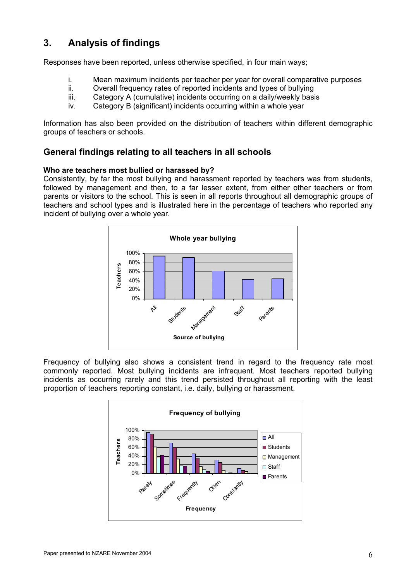# **3. Analysis of findings**

Responses have been reported, unless otherwise specified, in four main ways;

- i. Mean maximum incidents per teacher per year for overall comparative purposes ii<br>ii Overall frequency rates of reported incidents and types of bullying
- Overall frequency rates of reported incidents and types of bullying
- iii. Category A (cumulative) incidents occurring on a daily/weekly basis
- iv. Category B (significant) incidents occurring within a whole year

Information has also been provided on the distribution of teachers within different demographic groups of teachers or schools.

## **General findings relating to all teachers in all schools**

#### **Who are teachers most bullied or harassed by?**

Consistently, by far the most bullying and harassment reported by teachers was from students, followed by management and then, to a far lesser extent, from either other teachers or from parents or visitors to the school. This is seen in all reports throughout all demographic groups of teachers and school types and is illustrated here in the percentage of teachers who reported any incident of bullying over a whole year.



Frequency of bullying also shows a consistent trend in regard to the frequency rate most commonly reported. Most bullying incidents are infrequent. Most teachers reported bullying incidents as occurring rarely and this trend persisted throughout all reporting with the least proportion of teachers reporting constant, i.e. daily, bullying or harassment.

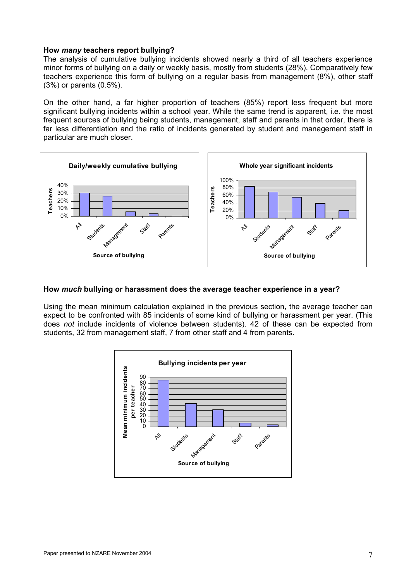#### **How** *many* **teachers report bullying?**

The analysis of cumulative bullying incidents showed nearly a third of all teachers experience minor forms of bullying on a daily or weekly basis, mostly from students (28%). Comparatively few teachers experience this form of bullying on a regular basis from management (8%), other staff (3%) or parents (0.5%).

On the other hand, a far higher proportion of teachers (85%) report less frequent but more significant bullying incidents within a school year. While the same trend is apparent, i.e. the most frequent sources of bullying being students, management, staff and parents in that order, there is far less differentiation and the ratio of incidents generated by student and management staff in particular are much closer.



#### **How** *much* **bullying or harassment does the average teacher experience in a year?**

Using the mean minimum calculation explained in the previous section, the average teacher can expect to be confronted with 85 incidents of some kind of bullying or harassment per year. (This does *not* include incidents of violence between students). 42 of these can be expected from students, 32 from management staff, 7 from other staff and 4 from parents.

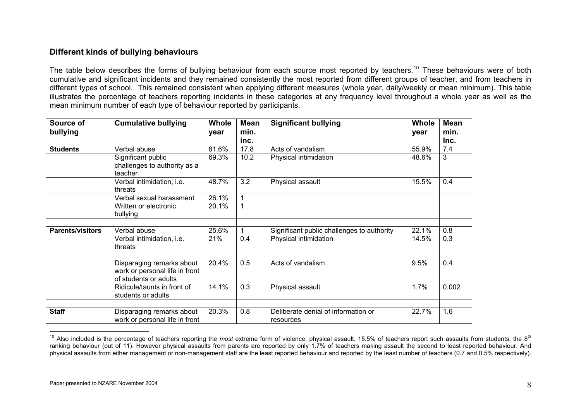### **Different kinds of bullying behaviours**

The table below describes the forms of bullying behaviour from each source most reported by teachers.<sup>[10](#page-7-0)</sup> These behaviours were of both cumulative and significant incidents and they remained consistently the most reported from different groups of teacher, and from teachers in different types of school. This remained consistent when applying different measures (whole year, daily/weekly or mean minimum). This table illustrates the percentage of teachers reporting incidents in these categories at any frequency level throughout a whole year as well as the mean minimum number of each type of behaviour reported by participants.

| Source of               | <b>Cumulative bullying</b>                                                           | <b>Whole</b> | <b>Mean</b> | <b>Significant bullying</b>                      | <b>Whole</b> | <b>Mean</b> |
|-------------------------|--------------------------------------------------------------------------------------|--------------|-------------|--------------------------------------------------|--------------|-------------|
| bullying                |                                                                                      | year         | min.        |                                                  | year         | min.        |
|                         |                                                                                      |              | inc.        |                                                  |              | Inc.        |
| <b>Students</b>         | Verbal abuse                                                                         | 81.6%        | 17.8        | Acts of vandalism                                | 55.9%        | 7.4         |
|                         | Significant public<br>challenges to authority as a<br>teacher                        | 69.3%        | 10.2        | Physical intimidation                            | 48.6%        | 3           |
|                         | Verbal intimidation, i.e.<br>threats                                                 | 48.7%        | 3.2         | Physical assault                                 | 15.5%        | 0.4         |
|                         | Verbal sexual harassment                                                             | 26.1%        | $\mathbf 1$ |                                                  |              |             |
|                         | Written or electronic<br>bullying                                                    | 20.1%        | $\mathbf 1$ |                                                  |              |             |
|                         |                                                                                      |              |             |                                                  |              |             |
| <b>Parents/visitors</b> | Verbal abuse                                                                         | 25.6%        | 1           | Significant public challenges to authority       | 22.1%        | 0.8         |
|                         | Verbal intimidation, i.e.<br>threats                                                 | 21%          | 0.4         | Physical intimidation                            | 14.5%        | 0.3         |
|                         | Disparaging remarks about<br>work or personal life in front<br>of students or adults | 20.4%        | 0.5         | Acts of vandalism                                | 9.5%         | 0.4         |
|                         | Ridicule/taunts in front of<br>students or adults                                    | 14.1%        | 0.3         | Physical assault                                 | 1.7%         | 0.002       |
| <b>Staff</b>            | Disparaging remarks about<br>work or personal life in front                          | 20.3%        | 0.8         | Deliberate denial of information or<br>resources | 22.7%        | 1.6         |

<span id="page-7-0"></span><sup>&</sup>lt;sup>10</sup> Also included is the percentage of teachers reporting the *most* extreme form of violence, physical assault. 15.5% of teachers report such assaults from students, the 8<sup>th</sup> ranking behaviour (out of 11). However physical assaults from parents are reported by only 1.7% of teachers making assault the second to least reported behaviour. And physical assaults from either management or non-management staff are the least reported behaviour and reported by the least number of teachers (0.7 and 0.5% respectively).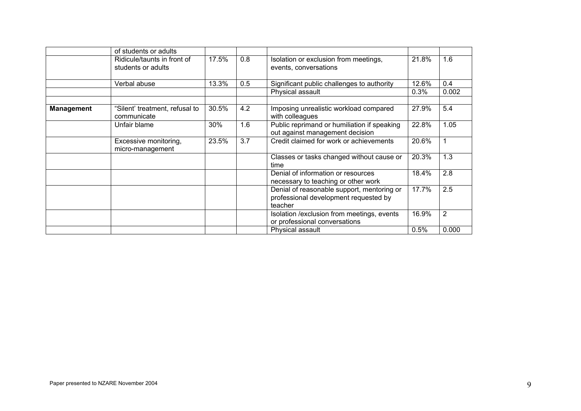|                   | of students or adults                             |       |     |                                                                                                |       |              |
|-------------------|---------------------------------------------------|-------|-----|------------------------------------------------------------------------------------------------|-------|--------------|
|                   | Ridicule/taunts in front of<br>students or adults | 17.5% | 0.8 | Isolation or exclusion from meetings,<br>events, conversations                                 | 21.8% | 1.6          |
|                   | Verbal abuse                                      | 13.3% | 0.5 | Significant public challenges to authority                                                     | 12.6% | 0.4          |
|                   |                                                   |       |     | Physical assault                                                                               | 0.3%  | 0.002        |
| <b>Management</b> | "Silent' treatment, refusal to<br>communicate     | 30.5% | 4.2 | Imposing unrealistic workload compared<br>with colleagues                                      | 27.9% | 5.4          |
|                   | Unfair blame                                      | 30%   | 1.6 | Public reprimand or humiliation if speaking<br>out against management decision                 | 22.8% | 1.05         |
|                   | Excessive monitoring,<br>micro-management         | 23.5% | 3.7 | Credit claimed for work or achievements                                                        | 20.6% | $\mathbf{1}$ |
|                   |                                                   |       |     | Classes or tasks changed without cause or<br>time                                              | 20.3% | 1.3          |
|                   |                                                   |       |     | Denial of information or resources<br>necessary to teaching or other work                      | 18.4% | 2.8          |
|                   |                                                   |       |     | Denial of reasonable support, mentoring or<br>professional development requested by<br>teacher | 17.7% | 2.5          |
|                   |                                                   |       |     | Isolation / exclusion from meetings, events<br>or professional conversations                   | 16.9% | 2            |
|                   |                                                   |       |     | Physical assault                                                                               | 0.5%  | 0.000        |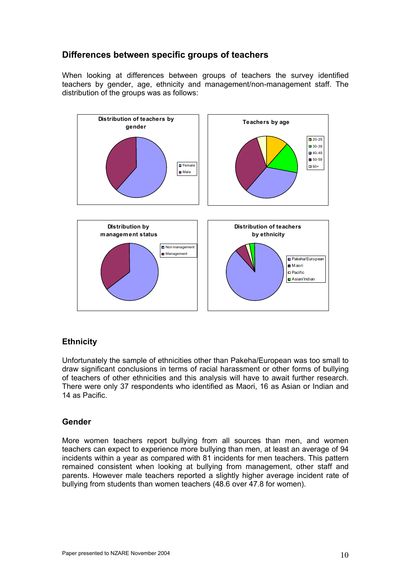## **Differences between specific groups of teachers**

When looking at differences between groups of teachers the survey identified teachers by gender, age, ethnicity and management/non-management staff. The distribution of the groups was as follows:



## **Ethnicity**

Unfortunately the sample of ethnicities other than Pakeha/European was too small to draw significant conclusions in terms of racial harassment or other forms of bullying of teachers of other ethnicities and this analysis will have to await further research. There were only 37 respondents who identified as Maori, 16 as Asian or Indian and 14 as Pacific.

## **Gender**

More women teachers report bullying from all sources than men, and women teachers can expect to experience more bullying than men, at least an average of 94 incidents within a year as compared with 81 incidents for men teachers. This pattern remained consistent when looking at bullying from management, other staff and parents. However male teachers reported a slightly higher average incident rate of bullying from students than women teachers (48.6 over 47.8 for women).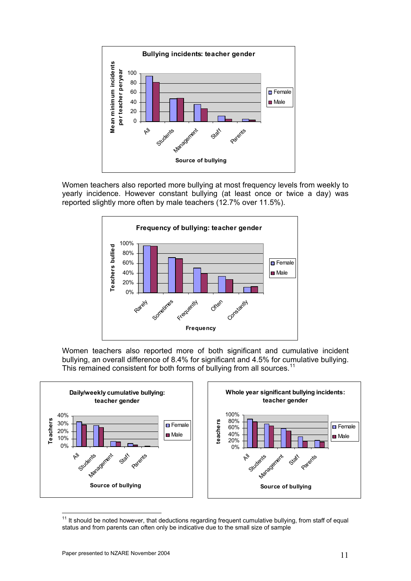<span id="page-10-0"></span>

Women teachers also reported more bullying at most frequency levels from weekly to yearly incidence. However constant bullying (at least once or twice a day) was reported slightly more often by male teachers (12.7% over 11.5%).



Women teachers also reported more of both significant and cumulative incident bullying, an overall difference of 8.4% for significant and 4.5% for cumulative bullying. This remained consistent for both forms of bullying from all sources.<sup>[11](#page-10-0)</sup>



 $\frac{1}{2}$  $11$  It should be noted however, that deductions regarding frequent cumulative bullying, from staff of equal status and from parents can often only be indicative due to the small size of sample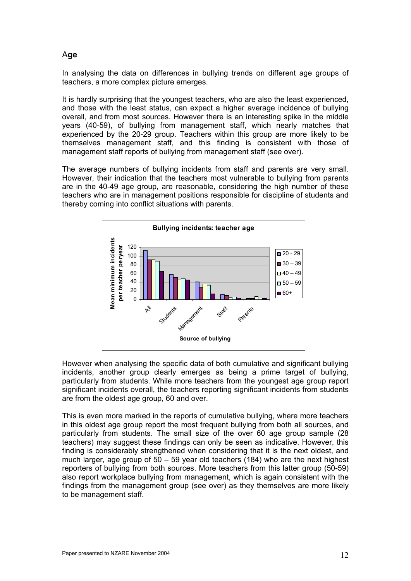### A**ge**

In analysing the data on differences in bullying trends on different age groups of teachers, a more complex picture emerges.

It is hardly surprising that the youngest teachers, who are also the least experienced, and those with the least status, can expect a higher average incidence of bullying overall, and from most sources. However there is an interesting spike in the middle years (40-59), of bullying from management staff, which nearly matches that experienced by the 20-29 group. Teachers within this group are more likely to be themselves management staff, and this finding is consistent with those of management staff reports of bullying from management staff (see over).

The average numbers of bullying incidents from staff and parents are very small. However, their indication that the teachers most vulnerable to bullying from parents are in the 40-49 age group, are reasonable, considering the high number of these teachers who are in management positions responsible for discipline of students and thereby coming into conflict situations with parents.



However when analysing the specific data of both cumulative and significant bullying incidents, another group clearly emerges as being a prime target of bullying, particularly from students. While more teachers from the youngest age group report significant incidents overall, the teachers reporting significant incidents from students are from the oldest age group, 60 and over.

This is even more marked in the reports of cumulative bullying, where more teachers in this oldest age group report the most frequent bullying from both all sources, and particularly from students. The small size of the over 60 age group sample (28 teachers) may suggest these findings can only be seen as indicative. However, this finding is considerably strengthened when considering that it is the next oldest, and much larger, age group of 50 – 59 year old teachers (184) who are the next highest reporters of bullying from both sources. More teachers from this latter group (50-59) also report workplace bullying from management, which is again consistent with the findings from the management group (see over) as they themselves are more likely to be management staff.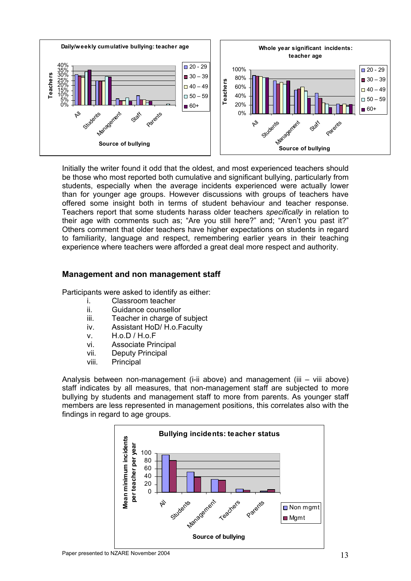

Initially the writer found it odd that the oldest, and most experienced teachers should be those who most reported both cumulative and significant bullying, particularly from students, especially when the average incidents experienced were actually lower than for younger age groups. However discussions with groups of teachers have offered some insight both in terms of student behaviour and teacher response. Teachers report that some students harass older teachers *specifically* in relation to their age with comments such as; "Are you still here?" and; "Aren't you past it?" Others comment that older teachers have higher expectations on students in regard to familiarity, language and respect, remembering earlier years in their teaching experience where teachers were afforded a great deal more respect and authority.

### **Management and non management staff**

Participants were asked to identify as either:

- i. Classroom teacher
- ii. Guidance counsellor
- iii. Teacher in charge of subject
- iv. Assistant HoD/ H.o.Faculty
- v. H.o.D / H.o.F
- vi. Associate Principal
- vii. Deputy Principal
- viii. Principal

Analysis between non-management (i-ii above) and management (iii – viii above) staff indicates by all measures, that non-management staff are subjected to more bullying by students and management staff to more from parents. As younger staff members are less represented in management positions, this correlates also with the findings in regard to age groups.

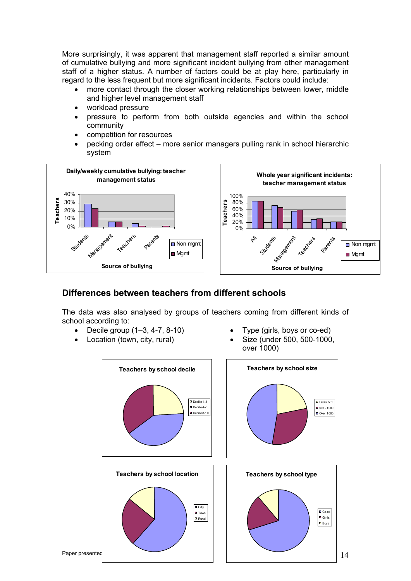More surprisingly, it was apparent that management staff reported a similar amount of cumulative bullying and more significant incident bullying from other management staff of a higher status. A number of factors could be at play here, particularly in regard to the less frequent but more significant incidents. Factors could include:

- more contact through the closer working relationships between lower, middle and higher level management staff
- workload pressure
- pressure to perform from both outside agencies and within the school community
- competition for resources
- pecking order effect more senior managers pulling rank in school hierarchic system



## **Differences between teachers from different schools**

The data was also analysed by groups of teachers coming from different kinds of school according to:

- Decile group (1–3, 4-7, 8-10) Type (girls, boys or co-ed)
- 
- 
- Location (town, city, rural) Size (under 500, 500-1000, over 1000)

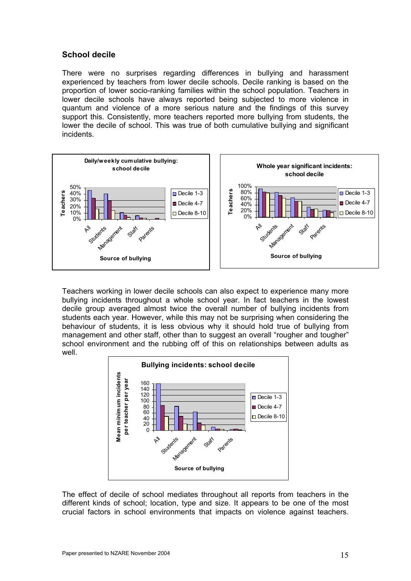### **School decile**

There were no surprises regarding differences in bullying and harassment experienced by teachers from lower decile schools. Decile ranking is based on the proportion of lower socio-ranking families within the school population. Teachers in lower decile schools have always reported being subjected to more violence in quantum and violence of a more serious nature and the findings of this survey support this. Consistently, more teachers reported more bullying from students, the lower the decile of school. This was true of both cumulative bullying and significant incidents.



Teachers working in lower decile schools can also expect to experience many more bullying incidents throughout a whole school year. In fact teachers in the lowest decile group averaged almost twice the overall number of bullying incidents from students each year. However, while this may not be surprising when considering the behaviour of students, it is less obvious why it should hold true of bullying from management and other staff, other than to suggest an overall "rougher and tougher" school environment and the rubbing off of this on relationships between adults as well.



The effect of decile of school mediates throughout all reports from teachers in the different kinds of school; location, type and size. It appears to be one of the most crucial factors in school environments that impacts on violence against teachers.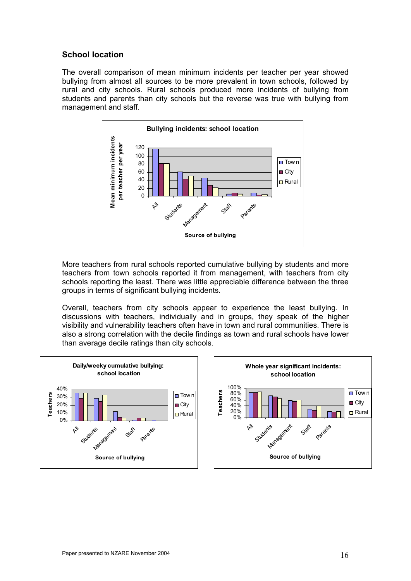### **School location**

The overall comparison of mean minimum incidents per teacher per year showed bullying from almost all sources to be more prevalent in town schools, followed by rural and city schools. Rural schools produced more incidents of bullying from students and parents than city schools but the reverse was true with bullying from management and staff.



More teachers from rural schools reported cumulative bullying by students and more teachers from town schools reported it from management, with teachers from city schools reporting the least. There was little appreciable difference between the three groups in terms of significant bullying incidents.

Overall, teachers from city schools appear to experience the least bullying. In discussions with teachers, individually and in groups, they speak of the higher visibility and vulnerability teachers often have in town and rural communities. There is also a strong correlation with the decile findings as town and rural schools have lower than average decile ratings than city schools.

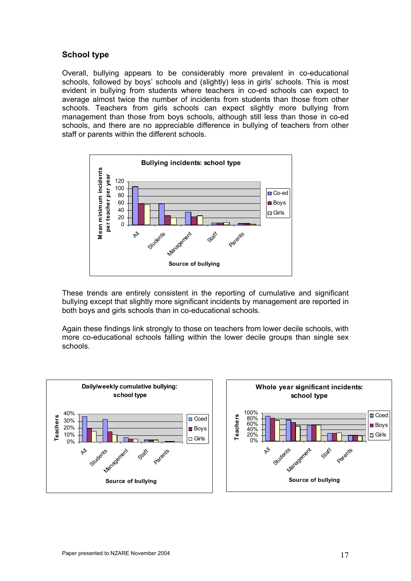### **School type**

Overall, bullying appears to be considerably more prevalent in co-educational schools, followed by boys' schools and (slightly) less in girls' schools. This is most evident in bullying from students where teachers in co-ed schools can expect to average almost twice the number of incidents from students than those from other schools. Teachers from girls schools can expect slightly more bullying from management than those from boys schools, although still less than those in co-ed schools, and there are no appreciable difference in bullying of teachers from other staff or parents within the different schools.



These trends are entirely consistent in the reporting of cumulative and significant bullying except that slightly more significant incidents by management are reported in both boys and girls schools than in co-educational schools.

Again these findings link strongly to those on teachers from lower decile schools, with more co-educational schools falling within the lower decile groups than single sex schools.



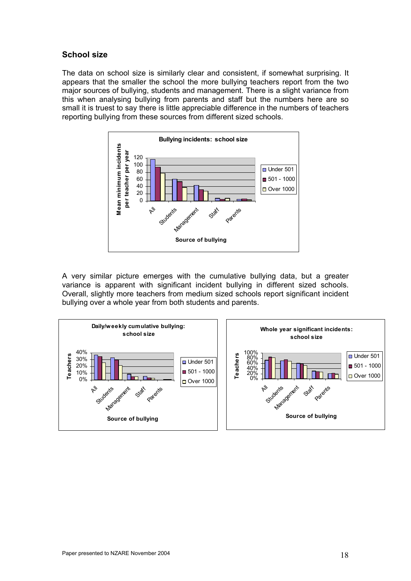### **School size**

The data on school size is similarly clear and consistent, if somewhat surprising. It appears that the smaller the school the more bullying teachers report from the two major sources of bullying, students and management. There is a slight variance from this when analysing bullying from parents and staff but the numbers here are so small it is truest to say there is little appreciable difference in the numbers of teachers reporting bullying from these sources from different sized schools.



A very similar picture emerges with the cumulative bullying data, but a greater variance is apparent with significant incident bullying in different sized schools. Overall, slightly more teachers from medium sized schools report significant incident bullying over a whole year from both students and parents.

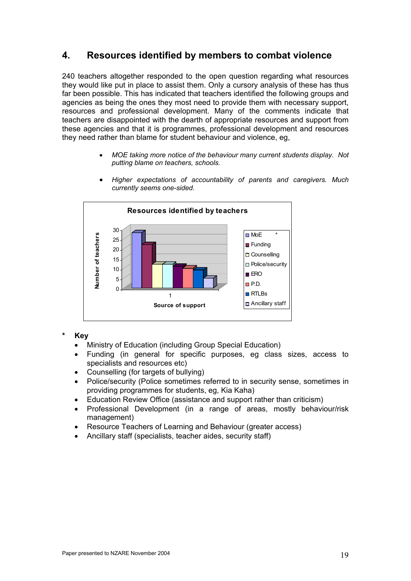## **4. Resources identified by members to combat violence**

240 teachers altogether responded to the open question regarding what resources they would like put in place to assist them. Only a cursory analysis of these has thus far been possible. This has indicated that teachers identified the following groups and agencies as being the ones they most need to provide them with necessary support, resources and professional development. Many of the comments indicate that teachers are disappointed with the dearth of appropriate resources and support from these agencies and that it is programmes, professional development and resources they need rather than blame for student behaviour and violence, eg,

> • *MOE taking more notice of the behaviour many current students display. Not putting blame on teachers, schools.*



• *Higher expectations of accountability of parents and caregivers. Much currently seems one-sided*.

#### **\* Key**

- Ministry of Education (including Group Special Education)
- Funding (in general for specific purposes, eg class sizes, access to specialists and resources etc)
- Counselling (for targets of bullying)
- Police/security (Police sometimes referred to in security sense, sometimes in providing programmes for students, eg, Kia Kaha)
- Education Review Office (assistance and support rather than criticism)
- Professional Development (in a range of areas, mostly behaviour/risk management)
- Resource Teachers of Learning and Behaviour (greater access)
- Ancillary staff (specialists, teacher aides, security staff)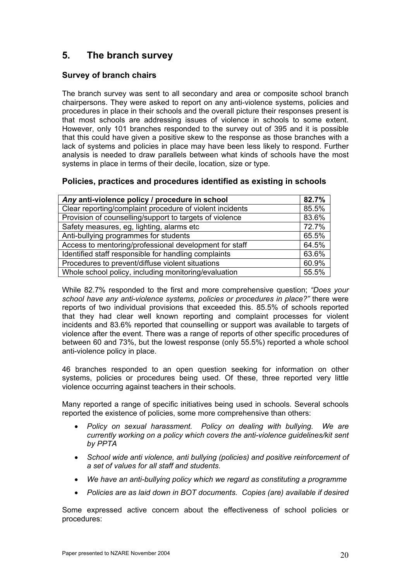# **5. The branch survey**

## **Survey of branch chairs**

The branch survey was sent to all secondary and area or composite school branch chairpersons. They were asked to report on any anti-violence systems, policies and procedures in place in their schools and the overall picture their responses present is that most schools are addressing issues of violence in schools to some extent. However, only 101 branches responded to the survey out of 395 and it is possible that this could have given a positive skew to the response as those branches with a lack of systems and policies in place may have been less likely to respond. Further analysis is needed to draw parallels between what kinds of schools have the most systems in place in terms of their decile, location, size or type.

## **Policies, practices and procedures identified as existing in schools**

| Any anti-violence policy / procedure in school           |       |  |  |  |
|----------------------------------------------------------|-------|--|--|--|
| Clear reporting/complaint procedure of violent incidents | 85.5% |  |  |  |
| Provision of counselling/support to targets of violence  | 83.6% |  |  |  |
| Safety measures, eg, lighting, alarms etc                | 72.7% |  |  |  |
| Anti-bullying programmes for students                    | 65.5% |  |  |  |
| Access to mentoring/professional development for staff   | 64.5% |  |  |  |
| Identified staff responsible for handling complaints     | 63.6% |  |  |  |
| Procedures to prevent/diffuse violent situations         | 60.9% |  |  |  |
| Whole school policy, including monitoring/evaluation     | 55.5% |  |  |  |

While 82.7% responded to the first and more comprehensive question; *"Does your school have any anti-violence systems, policies or procedures in place?"* there were reports of two individual provisions that exceeded this. 85.5% of schools reported that they had clear well known reporting and complaint processes for violent incidents and 83.6% reported that counselling or support was available to targets of violence after the event. There was a range of reports of other specific procedures of between 60 and 73%, but the lowest response (only 55.5%) reported a whole school anti-violence policy in place.

46 branches responded to an open question seeking for information on other systems, policies or procedures being used. Of these, three reported very little violence occurring against teachers in their schools.

Many reported a range of specific initiatives being used in schools. Several schools reported the existence of policies, some more comprehensive than others:

- *Policy on sexual harassment. Policy on dealing with bullying. We are currently working on a policy which covers the anti-violence guidelines/kit sent by PPTA*
- *School wide anti violence, anti bullying (policies) and positive reinforcement of a set of values for all staff and students.*
- *We have an anti-bullying policy which we regard as constituting a programme*
- *Policies are as laid down in BOT documents. Copies (are) available if desired*

Some expressed active concern about the effectiveness of school policies or procedures: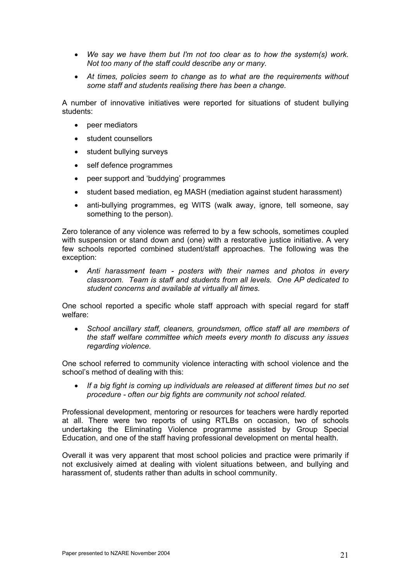- *We say we have them but I'm not too clear as to how the system(s) work. Not too many of the staff could describe any or many.*
- *At times, policies seem to change as to what are the requirements without some staff and students realising there has been a change.*

A number of innovative initiatives were reported for situations of student bullying students:

- peer mediators
- student counsellors
- student bullying surveys
- self defence programmes
- peer support and 'buddying' programmes
- student based mediation, eg MASH (mediation against student harassment)
- anti-bullying programmes, eg WITS (walk away, ignore, tell someone, say something to the person).

Zero tolerance of any violence was referred to by a few schools, sometimes coupled with suspension or stand down and (one) with a restorative justice initiative. A very few schools reported combined student/staff approaches. The following was the exception:

• *Anti harassment team - posters with their names and photos in every classroom. Team is staff and students from all levels. One AP dedicated to student concerns and available at virtually all times.* 

One school reported a specific whole staff approach with special regard for staff welfare:

• *School ancillary staff, cleaners, groundsmen, office staff all are members of the staff welfare committee which meets every month to discuss any issues regarding violence.* 

One school referred to community violence interacting with school violence and the school's method of dealing with this:

• *If a big fight is coming up individuals are released at different times but no set procedure - often our big fights are community not school related.* 

Professional development, mentoring or resources for teachers were hardly reported at all. There were two reports of using RTLBs on occasion, two of schools undertaking the Eliminating Violence programme assisted by Group Special Education, and one of the staff having professional development on mental health.

Overall it was very apparent that most school policies and practice were primarily if not exclusively aimed at dealing with violent situations between, and bullying and harassment of, students rather than adults in school community.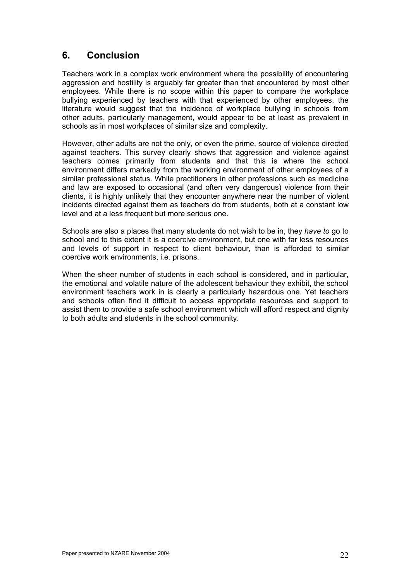## **6. Conclusion**

Teachers work in a complex work environment where the possibility of encountering aggression and hostility is arguably far greater than that encountered by most other employees. While there is no scope within this paper to compare the workplace bullying experienced by teachers with that experienced by other employees, the literature would suggest that the incidence of workplace bullying in schools from other adults, particularly management, would appear to be at least as prevalent in schools as in most workplaces of similar size and complexity.

However, other adults are not the only, or even the prime, source of violence directed against teachers. This survey clearly shows that aggression and violence against teachers comes primarily from students and that this is where the school environment differs markedly from the working environment of other employees of a similar professional status. While practitioners in other professions such as medicine and law are exposed to occasional (and often very dangerous) violence from their clients, it is highly unlikely that they encounter anywhere near the number of violent incidents directed against them as teachers do from students, both at a constant low level and at a less frequent but more serious one.

Schools are also a places that many students do not wish to be in, they *have to* go to school and to this extent it is a coercive environment, but one with far less resources and levels of support in respect to client behaviour, than is afforded to similar coercive work environments, i.e. prisons.

When the sheer number of students in each school is considered, and in particular, the emotional and volatile nature of the adolescent behaviour they exhibit, the school environment teachers work in is clearly a particularly hazardous one. Yet teachers and schools often find it difficult to access appropriate resources and support to assist them to provide a safe school environment which will afford respect and dignity to both adults and students in the school community.